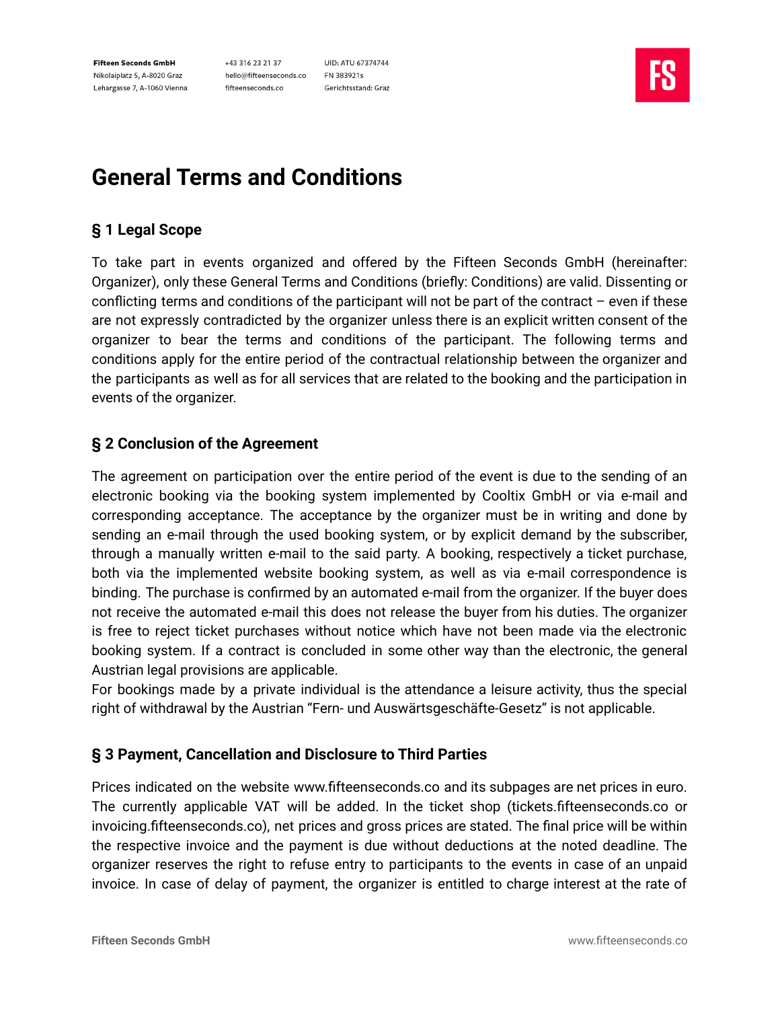+43 316 23 21 37 hello@fifteenseconds.co fifteenseconds.co

UID: ATU 67374744 FN 383921s Gerichtsstand: Graz



# **General Terms and Conditions**

# **§ 1 Legal Scope**

To take part in events organized and offered by the Fifteen Seconds GmbH (hereinafter: Organizer), only these General Terms and Conditions (briefly: Conditions) are valid. Dissenting or conflicting terms and conditions of the participant will not be part of the contract – even if these are not expressly contradicted by the organizer unless there is an explicit written consent of the organizer to bear the terms and conditions of the participant. The following terms and conditions apply for the entire period of the contractual relationship between the organizer and the participants as well as for all services that are related to the booking and the participation in events of the organizer.

## **§ 2 Conclusion of the Agreement**

The agreement on participation over the entire period of the event is due to the sending of an electronic booking via the booking system implemented by Cooltix GmbH or via e-mail and corresponding acceptance. The acceptance by the organizer must be in writing and done by sending an e-mail through the used booking system, or by explicit demand by the subscriber, through a manually written e-mail to the said party. A booking, respectively a ticket purchase, both via the implemented website booking system, as well as via e-mail correspondence is binding. The purchase is confirmed by an automated e-mail from the organizer. If the buyer does not receive the automated e-mail this does not release the buyer from his duties. The organizer is free to reject ticket purchases without notice which have not been made via the electronic booking system. If a contract is concluded in some other way than the electronic, the general Austrian legal provisions are applicable.

For bookings made by a private individual is the attendance a leisure activity, thus the special right of withdrawal by the Austrian "Fern- und Auswärtsgeschäfte-Gesetz" is not applicable.

## **§ 3 Payment, Cancellation and Disclosure to Third Parties**

Prices indicated on the website www.fifteenseconds.co and its subpages are net prices in euro. The currently applicable VAT will be added. In the ticket shop (tickets.fifteenseconds.co or invoicing.fifteenseconds.co), net prices and gross prices are stated. The final price will be within the respective invoice and the payment is due without deductions at the noted deadline. The organizer reserves the right to refuse entry to participants to the events in case of an unpaid invoice. In case of delay of payment, the organizer is entitled to charge interest at the rate of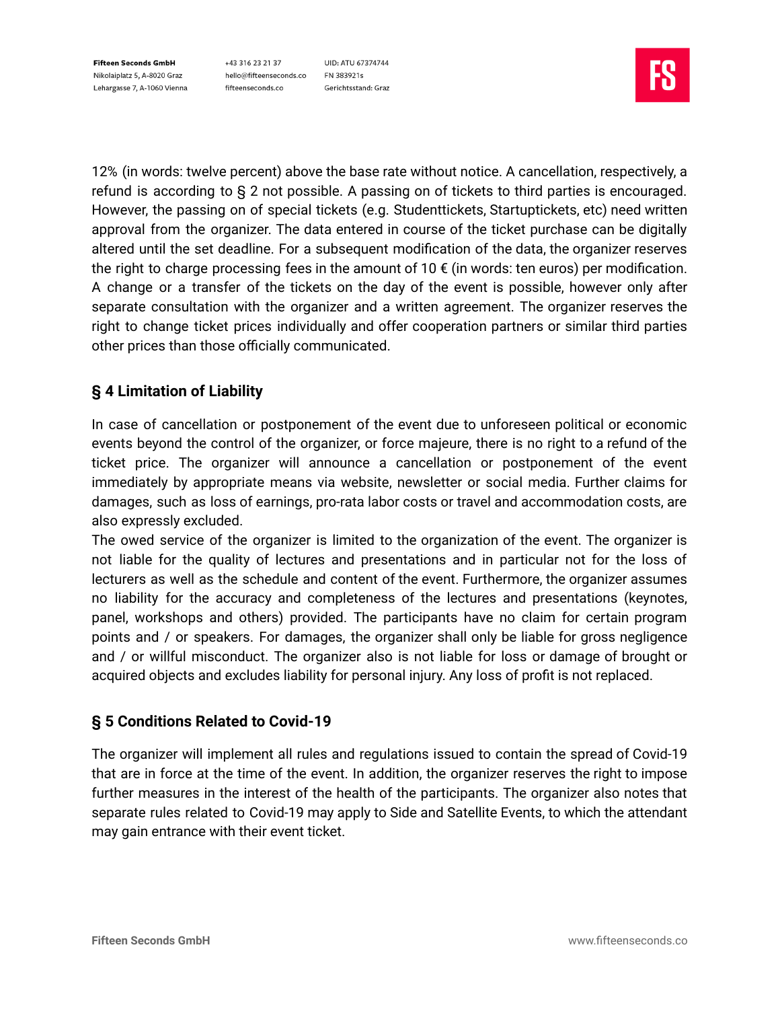+43 316 23 21 37 hello@fifteenseconds.co fifteenseconds.co

UID: ATU 67374744 FN 383921s Gerichtsstand: Graz



12% (in words: twelve percent) above the base rate without notice. A cancellation, respectively, a refund is according to § 2 not possible. A passing on of tickets to third parties is encouraged. However, the passing on of special tickets (e.g. Studenttickets, Startuptickets, etc) need written approval from the organizer. The data entered in course of the ticket purchase can be digitally altered until the set deadline. For a subsequent modification of the data, the organizer reserves the right to charge processing fees in the amount of 10  $\epsilon$  (in words: ten euros) per modification. A change or a transfer of the tickets on the day of the event is possible, however only after separate consultation with the organizer and a written agreement. The organizer reserves the right to change ticket prices individually and offer cooperation partners or similar third parties other prices than those officially communicated.

# **§ 4 Limitation of Liability**

In case of cancellation or postponement of the event due to unforeseen political or economic events beyond the control of the organizer, or force majeure, there is no right to a refund of the ticket price. The organizer will announce a cancellation or postponement of the event immediately by appropriate means via website, newsletter or social media. Further claims for damages, such as loss of earnings, pro-rata labor costs or travel and accommodation costs, are also expressly excluded.

The owed service of the organizer is limited to the organization of the event. The organizer is not liable for the quality of lectures and presentations and in particular not for the loss of lecturers as well as the schedule and content of the event. Furthermore, the organizer assumes no liability for the accuracy and completeness of the lectures and presentations (keynotes, panel, workshops and others) provided. The participants have no claim for certain program points and / or speakers. For damages, the organizer shall only be liable for gross negligence and / or willful misconduct. The organizer also is not liable for loss or damage of brought or acquired objects and excludes liability for personal injury. Any loss of profit is not replaced.

## **§ 5 Conditions Related to Covid-19**

The organizer will implement all rules and regulations issued to contain the spread of Covid-19 that are in force at the time of the event. In addition, the organizer reserves the right to impose further measures in the interest of the health of the participants. The organizer also notes that separate rules related to Covid-19 may apply to Side and Satellite Events, to which the attendant may gain entrance with their event ticket.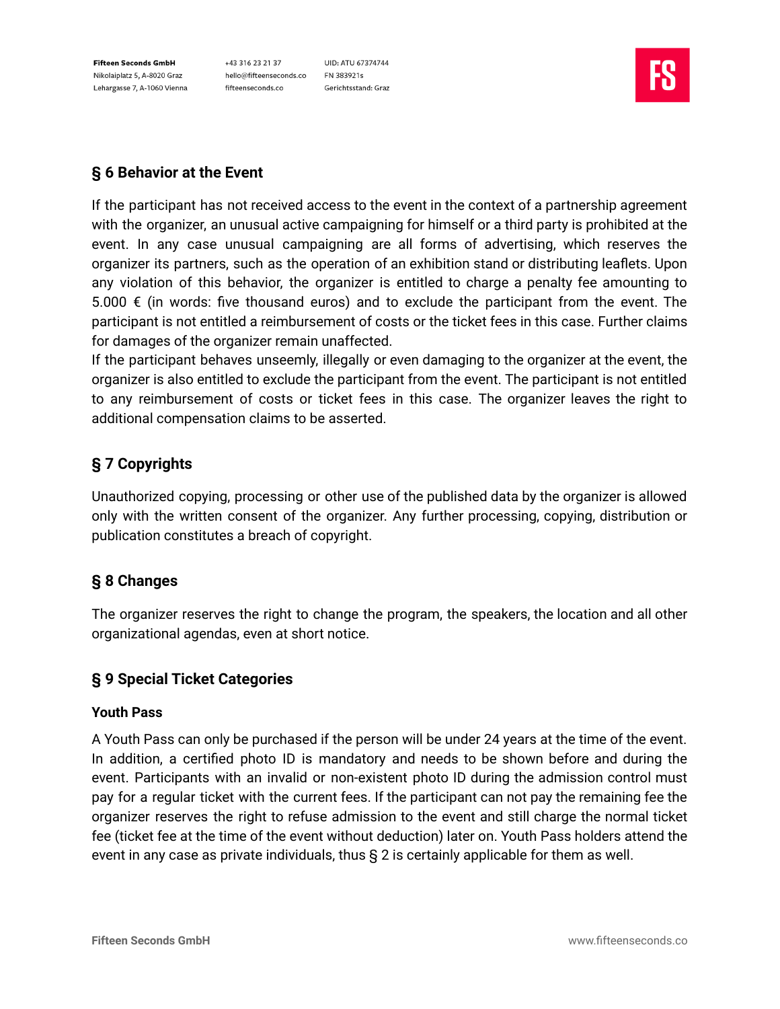+43 316 23 21 37 hello@fifteenseconds.co FN 383921s fifteenseconds.co

UID: ATU 67374744 Gerichtsstand: Graz



# **§ 6 Behavior at the Event**

If the participant has not received access to the event in the context of a partnership agreement with the organizer, an unusual active campaigning for himself or a third party is prohibited at the event. In any case unusual campaigning are all forms of advertising, which reserves the organizer its partners, such as the operation of an exhibition stand or distributing leaflets. Upon any violation of this behavior, the organizer is entitled to charge a penalty fee amounting to 5.000  $€$  (in words: five thousand euros) and to exclude the participant from the event. The participant is not entitled a reimbursement of costs or the ticket fees in this case. Further claims for damages of the organizer remain unaffected.

If the participant behaves unseemly, illegally or even damaging to the organizer at the event, the organizer is also entitled to exclude the participant from the event. The participant is not entitled to any reimbursement of costs or ticket fees in this case. The organizer leaves the right to additional compensation claims to be asserted.

# **§ 7 Copyrights**

Unauthorized copying, processing or other use of the published data by the organizer is allowed only with the written consent of the organizer. Any further processing, copying, distribution or publication constitutes a breach of copyright.

# **§ 8 Changes**

The organizer reserves the right to change the program, the speakers, the location and all other organizational agendas, even at short notice.

## **§ 9 Special Ticket Categories**

#### **Youth Pass**

A Youth Pass can only be purchased if the person will be under 24 years at the time of the event. In addition, a certified photo ID is mandatory and needs to be shown before and during the event. Participants with an invalid or non-existent photo ID during the admission control must pay for a regular ticket with the current fees. If the participant can not pay the remaining fee the organizer reserves the right to refuse admission to the event and still charge the normal ticket fee (ticket fee at the time of the event without deduction) later on. Youth Pass holders attend the event in any case as private individuals, thus § 2 is certainly applicable for them as well.